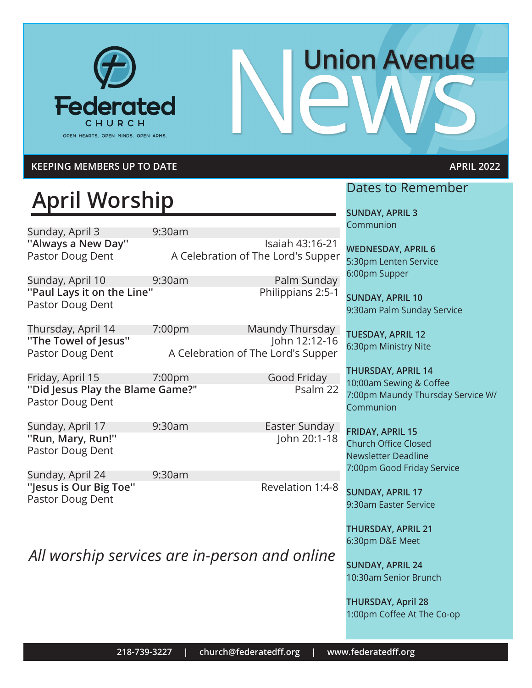

# **Union Avenue**

#### **KEEPING MEMBERS UP TO DATE APRIL 2022**

# **April Worship**

Sunday, April 3 9:30am

**''Always a New Day''** Isaiah 43:16-21 Pastor Doug Dent A Celebration of The Lord's Supper

Sunday, April 10 9:30am Palm Sunday **''Paul Lays it on the Line''** Philippians 2:5-1 Pastor Doug Dent

Pastor Doug Dent A Celebration of The Lord's Supper

Thursday, April 14 7:00pm Maundy Thursday **''The Towel of Jesus''** John 12:12-16

Friday, April 15 7:00pm Good Friday **''Did Jesus Play the Blame Game?"** Psalm 22 Pastor Doug Dent

Sunday, April 17 9:30am Easter Sunday **''Run, Mary, Run!''** John 20:1-18 Pastor Doug Dent

Pastor Doug Dent

Sunday, April 24 9:30am

"Jesus is Our Big Toe" **Revelation 1:4-8** 

*All worship services are in-person and online*

#### Dates to Remember

**SUNDAY, APRIL 3 Communion** 

**WEDNESDAY, APRIL 6** 5:30pm Lenten Service 6:00pm Supper

**SUNDAY, APRIL 10** 9:30am Palm Sunday Service

**TUESDAY, APRIL 12** 6:30pm Ministry Nite

**THURSDAY, APRIL 14** 10:00am Sewing & Coffee 7:00pm Maundy Thursday Service W/ Communion

**FRIDAY, APRIL 15** Church Office Closed Newsletter Deadline 7:00pm Good Friday Service

**SUNDAY, APRIL 17** 9:30am Easter Service

**THURSDAY, APRIL 21** 6:30pm D&E Meet

**SUNDAY, APRIL 24** 10:30am Senior Brunch

**THURSDAY, April 28** 1:00pm Coffee At The Co-op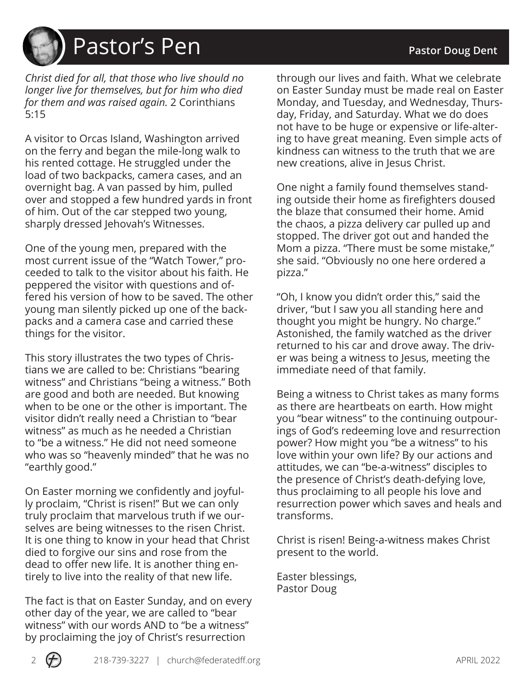# Pastor's Pen **Pastor's Pen and Pastor Doug Dent**

*Christ died for all, that those who live should no longer live for themselves, but for him who died for them and was raised again.* 2 Corinthians 5:15

A visitor to Orcas Island, Washington arrived on the ferry and began the mile-long walk to his rented cottage. He struggled under the load of two backpacks, camera cases, and an overnight bag. A van passed by him, pulled over and stopped a few hundred yards in front of him. Out of the car stepped two young, sharply dressed Jehovah's Witnesses.

One of the young men, prepared with the most current issue of the "Watch Tower," proceeded to talk to the visitor about his faith. He peppered the visitor with questions and offered his version of how to be saved. The other young man silently picked up one of the backpacks and a camera case and carried these things for the visitor.

This story illustrates the two types of Christians we are called to be: Christians "bearing witness" and Christians "being a witness." Both are good and both are needed. But knowing when to be one or the other is important. The visitor didn't really need a Christian to "bear witness" as much as he needed a Christian to "be a witness." He did not need someone who was so "heavenly minded" that he was no "earthly good."

On Easter morning we confidently and joyfully proclaim, "Christ is risen!" But we can only truly proclaim that marvelous truth if we ourselves are being witnesses to the risen Christ. It is one thing to know in your head that Christ died to forgive our sins and rose from the dead to offer new life. It is another thing entirely to live into the reality of that new life.

The fact is that on Easter Sunday, and on every other day of the year, we are called to "bear witness" with our words AND to "be a witness" by proclaiming the joy of Christ's resurrection

through our lives and faith. What we celebrate on Easter Sunday must be made real on Easter Monday, and Tuesday, and Wednesday, Thursday, Friday, and Saturday. What we do does not have to be huge or expensive or life-altering to have great meaning. Even simple acts of kindness can witness to the truth that we are new creations, alive in Jesus Christ.

One night a family found themselves standing outside their home as firefighters doused the blaze that consumed their home. Amid the chaos, a pizza delivery car pulled up and stopped. The driver got out and handed the Mom a pizza. "There must be some mistake," she said. "Obviously no one here ordered a pizza."

"Oh, I know you didn't order this," said the driver, "but I saw you all standing here and thought you might be hungry. No charge." Astonished, the family watched as the driver returned to his car and drove away. The driver was being a witness to Jesus, meeting the immediate need of that family.

Being a witness to Christ takes as many forms as there are heartbeats on earth. How might you "bear witness" to the continuing outpourings of God's redeeming love and resurrection power? How might you "be a witness" to his love within your own life? By our actions and attitudes, we can "be-a-witness" disciples to the presence of Christ's death-defying love, thus proclaiming to all people his love and resurrection power which saves and heals and transforms.

Christ is risen! Being-a-witness makes Christ present to the world.

Easter blessings, Pastor Doug

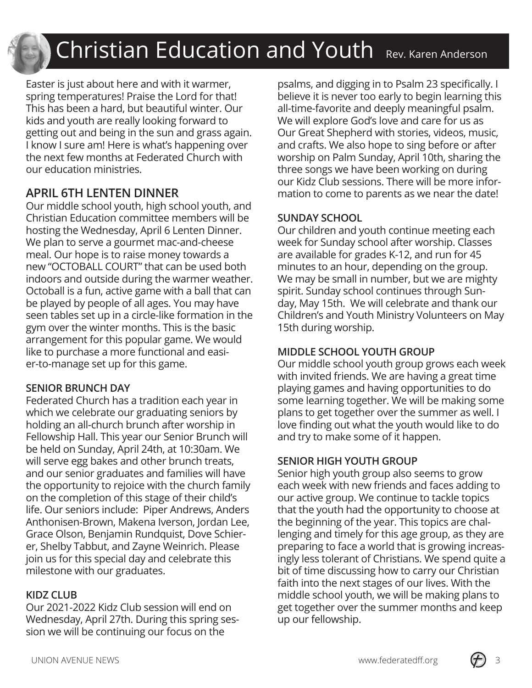# Christian Education and Youth Rev. Karen Anderson

Easter is just about here and with it warmer, spring temperatures! Praise the Lord for that! This has been a hard, but beautiful winter. Our kids and youth are really looking forward to getting out and being in the sun and grass again. I know I sure am! Here is what's happening over the next few months at Federated Church with our education ministries.

#### **APRIL 6TH LENTEN DINNER**

Our middle school youth, high school youth, and Christian Education committee members will be hosting the Wednesday, April 6 Lenten Dinner. We plan to serve a gourmet mac-and-cheese meal. Our hope is to raise money towards a new "OCTOBALL COURT" that can be used both indoors and outside during the warmer weather. Octoball is a fun, active game with a ball that can be played by people of all ages. You may have seen tables set up in a circle-like formation in the gym over the winter months. This is the basic arrangement for this popular game. We would like to purchase a more functional and easier-to-manage set up for this game.

#### **SENIOR BRUNCH DAY**

Federated Church has a tradition each year in which we celebrate our graduating seniors by holding an all-church brunch after worship in Fellowship Hall. This year our Senior Brunch will be held on Sunday, April 24th, at 10:30am. We will serve egg bakes and other brunch treats, and our senior graduates and families will have the opportunity to rejoice with the church family on the completion of this stage of their child's life. Our seniors include: Piper Andrews, Anders Anthonisen-Brown, Makena Iverson, Jordan Lee, Grace Olson, Benjamin Rundquist, Dove Schierer, Shelby Tabbut, and Zayne Weinrich. Please join us for this special day and celebrate this milestone with our graduates.

#### **KIDZ CLUB**

Our 2021-2022 Kidz Club session will end on Wednesday, April 27th. During this spring session we will be continuing our focus on the

psalms, and digging in to Psalm 23 specifically. I believe it is never too early to begin learning this all-time-favorite and deeply meaningful psalm. We will explore God's love and care for us as Our Great Shepherd with stories, videos, music, and crafts. We also hope to sing before or after worship on Palm Sunday, April 10th, sharing the three songs we have been working on during our Kidz Club sessions. There will be more information to come to parents as we near the date!

#### **SUNDAY SCHOOL**

Our children and youth continue meeting each week for Sunday school after worship. Classes are available for grades K-12, and run for 45 minutes to an hour, depending on the group. We may be small in number, but we are mighty spirit. Sunday school continues through Sunday, May 15th. We will celebrate and thank our Children's and Youth Ministry Volunteers on May 15th during worship.

#### **MIDDLE SCHOOL YOUTH GROUP**

Our middle school youth group grows each week with invited friends. We are having a great time playing games and having opportunities to do some learning together. We will be making some plans to get together over the summer as well. I love finding out what the youth would like to do and try to make some of it happen.

#### **SENIOR HIGH YOUTH GROUP**

Senior high youth group also seems to grow each week with new friends and faces adding to our active group. We continue to tackle topics that the youth had the opportunity to choose at the beginning of the year. This topics are challenging and timely for this age group, as they are preparing to face a world that is growing increasingly less tolerant of Christians. We spend quite a bit of time discussing how to carry our Christian faith into the next stages of our lives. With the middle school youth, we will be making plans to get together over the summer months and keep up our fellowship.

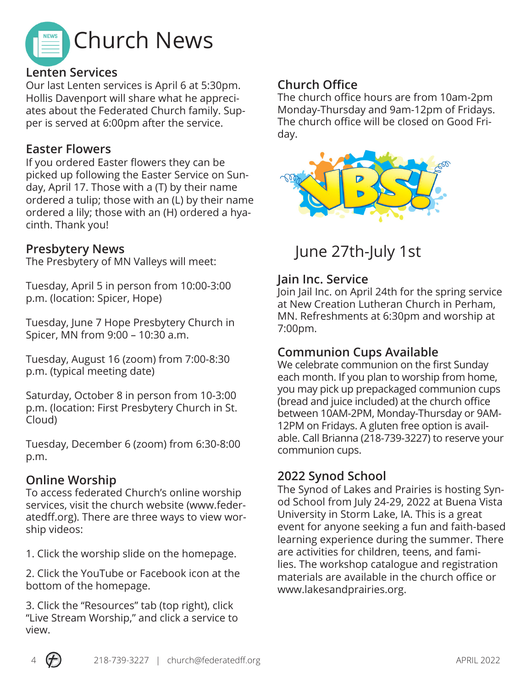

#### **Lenten Services**

Our last Lenten services is April 6 at 5:30pm. Hollis Davenport will share what he appreciates about the Federated Church family. Supper is served at 6:00pm after the service.

#### **Easter Flowers**

If you ordered Easter flowers they can be picked up following the Easter Service on Sunday, April 17. Those with a (T) by their name ordered a tulip; those with an (L) by their name ordered a lily; those with an (H) ordered a hyacinth. Thank you!

#### **Presbytery News**

The Presbytery of MN Valleys will meet:

Tuesday, April 5 in person from 10:00-3:00 p.m. (location: Spicer, Hope)

Tuesday, June 7 Hope Presbytery Church in Spicer, MN from 9:00 – 10:30 a.m.

Tuesday, August 16 (zoom) from 7:00-8:30 p.m. (typical meeting date)

Saturday, October 8 in person from 10-3:00 p.m. (location: First Presbytery Church in St. Cloud)

Tuesday, December 6 (zoom) from 6:30-8:00 p.m.

#### **Online Worship**

To access federated Church's online worship services, visit the church website (www.federatedff.org). There are three ways to view worship videos:

1. Click the worship slide on the homepage.

2. Click the YouTube or Facebook icon at the bottom of the homepage.

3. Click the "Resources" tab (top right), click "Live Stream Worship," and click a service to view.

#### **Church Office**

The church office hours are from 10am-2pm Monday-Thursday and 9am-12pm of Fridays. The church office will be closed on Good Friday.



# June 27th-July 1st

#### **Jain Inc. Service**

Join Jail Inc. on April 24th for the spring service at New Creation Lutheran Church in Perham, MN. Refreshments at 6:30pm and worship at 7:00pm.

#### **Communion Cups Available**

We celebrate communion on the first Sunday each month. If you plan to worship from home, you may pick up prepackaged communion cups (bread and juice included) at the church office between 10AM-2PM, Monday-Thursday or 9AM-12PM on Fridays. A gluten free option is available. Call Brianna (218-739-3227) to reserve your communion cups.

#### **2022 Synod School**

The Synod of Lakes and Prairies is hosting Synod School from July 24-29, 2022 at Buena Vista University in Storm Lake, IA. This is a great event for anyone seeking a fun and faith-based learning experience during the summer. There are activities for children, teens, and families. The workshop catalogue and registration materials are available in the church office or www.lakesandprairies.org.

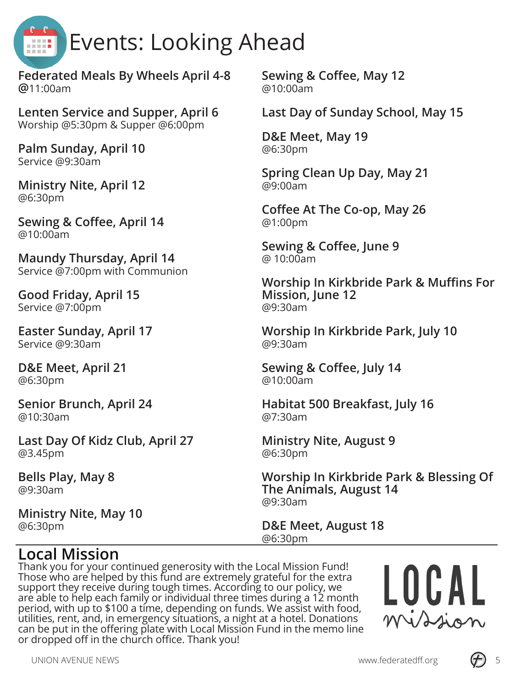

**Federated Meals By Wheels April 4-8 @**11:00am

**Lenten Service and Supper, April 6** Worship @5:30pm & Supper @6:00pm

**Palm Sunday, April 10** Service @9:30am

**Ministry Nite, April 12** @6:30pm

**Sewing & Coffee, April 14** @10:00am

**Maundy Thursday, April 14** Service @7:00pm with Communion

**Good Friday, April 15** Service @7:00pm

**Easter Sunday, April 17** Service @9:30am

**D&E Meet, April 21** @6:30pm

**Senior Brunch, April 24** @10:30am

**Last Day Of Kidz Club, April 27** @3.45pm

**Bells Play, May 8** @9:30am

**Ministry Nite, May 10** @6:30pm

**Sewing & Coffee, May 12** @10:00am

**Last Day of Sunday School, May 15**

**D&E Meet, May 19** @6:30pm

**Spring Clean Up Day, May 21** @9:00am

**Coffee At The Co-op, May 26** @1:00pm

**Sewing & Coffee, June 9** @ 10:00am

**Worship In Kirkbride Park & Muffins For Mission, June 12** @9:30am

**Worship In Kirkbride Park, July 10** @9:30am

**Sewing & Coffee, July 14** @10:00am

**Habitat 500 Breakfast, July 16** @7:30am

**Ministry Nite, August 9** @6:30pm

**Worship In Kirkbride Park & Blessing Of The Animals, August 14** @9:30am

**D&E Meet, August 18** @6:30pm

### **Local Mission**

Thank you for your continued generosity with the Local Mission Fund! Those who are helped by this fund are extremely grateful for the extra support they receive during tough times. According to our policy, we are able to help each family or individual three times during a 12 month period, with up to \$100 a time, depending on funds. We assist with food, utilities, rent, and, in emergency situations, a night at a hotel. Donations can be put in the offering plate with Local Mission Fund in the memo line or dropped off in the church office. Thank you!



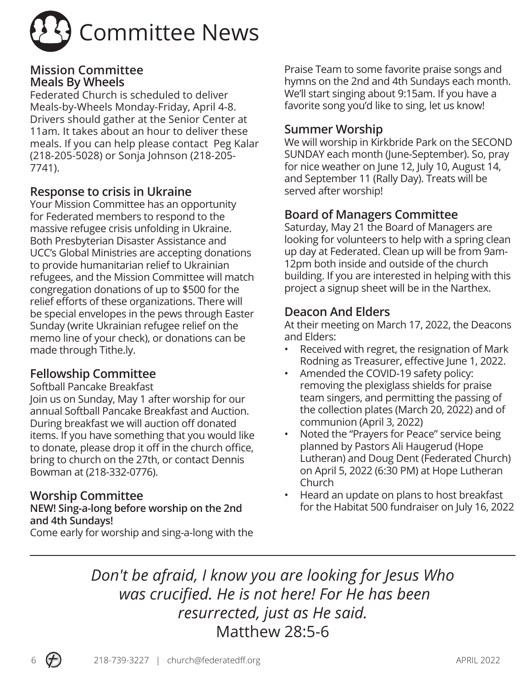

#### **Mission Committee Meals By Wheels**

Federated Church is scheduled to deliver Meals-by-Wheels Monday-Friday, April 4-8. Drivers should gather at the Senior Center at 11am. It takes about an hour to deliver these meals. If you can help please contact Peg Kalar (218-205-5028) or Sonja Johnson (218-205- 7741).

#### **Response to crisis in Ukraine**

Your Mission Committee has an opportunity for Federated members to respond to the massive refugee crisis unfolding in Ukraine. Both Presbyterian Disaster Assistance and UCC's Global Ministries are accepting donations to provide humanitarian relief to Ukrainian refugees, and the Mission Committee will match congregation donations of up to \$500 for the relief efforts of these organizations. There will be special envelopes in the pews through Easter Sunday (write Ukrainian refugee relief on the memo line of your check), or donations can be made through Tithe.ly.

#### **Fellowship Committee**

Softball Pancake Breakfast

Join us on Sunday, May 1 after worship for our annual Softball Pancake Breakfast and Auction. During breakfast we will auction off donated items. If you have something that you would like to donate, please drop it off in the church office, bring to church on the 27th, or contact Dennis Bowman at (218-332-0776).

#### **Worship Committee**

#### **NEW! Sing-a-long before worship on the 2nd and 4th Sundays!**

Come early for worship and sing-a-long with the

Praise Team to some favorite praise songs and hymns on the 2nd and 4th Sundays each month. We'll start singing about 9:15am. If you have a favorite song you'd like to sing, let us know!

#### **Summer Worship**

We will worship in Kirkbride Park on the SECOND SUNDAY each month (June-September). So, pray for nice weather on June 12, July 10, August 14, and September 11 (Rally Day). Treats will be served after worship!

#### **Board of Managers Committee**

Saturday, May 21 the Board of Managers are looking for volunteers to help with a spring clean up day at Federated. Clean up will be from 9am-12pm both inside and outside of the church building. If you are interested in helping with this project a signup sheet will be in the Narthex.

#### **Deacon And Elders**

At their meeting on March 17, 2022, the Deacons and Elders:

- Received with regret, the resignation of Mark Rodning as Treasurer, effective June 1, 2022.
- Amended the COVID-19 safety policy: removing the plexiglass shields for praise team singers, and permitting the passing of the collection plates (March 20, 2022) and of communion (April 3, 2022)
- Noted the "Prayers for Peace" service being planned by Pastors Ali Haugerud (Hope Lutheran) and Doug Dent (Federated Church) on April 5, 2022 (6:30 PM) at Hope Lutheran Church
- Heard an update on plans to host breakfast for the Habitat 500 fundraiser on July 16, 2022

*Don't be afraid, I know you are looking for Jesus Who was crucified. He is not here! For He has been resurrected, just as He said.*  Matthew 28:5-6

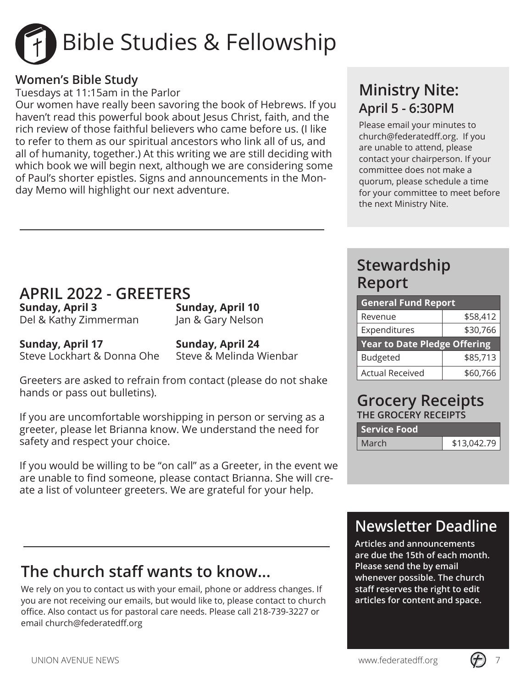

#### **Women's Bible Study**

Tuesdays at 11:15am in the Parlor

Our women have really been savoring the book of Hebrews. If you haven't read this powerful book about Jesus Christ, faith, and the rich review of those faithful believers who came before us. (I like to refer to them as our spiritual ancestors who link all of us, and all of humanity, together.) At this writing we are still deciding with which book we will begin next, although we are considering some of Paul's shorter epistles. Signs and announcements in the Monday Memo will highlight our next adventure.

## **Ministry Nite: April 5 - 6:30PM**

Please email your minutes to church@federatedff.org. If you are unable to attend, please contact your chairperson. If your committee does not make a quorum, please schedule a time for your committee to meet before the next Ministry Nite.

## **APRIL 2022 - GREETERS**

**Sunday, April 3 Sunday, April 10** Del & Kathy Zimmerman Jan & Gary Nelson

**Sunday, April 17 Sunday, April 24** Steve Lockhart & Donna Ohe Steve & Melinda Wienbar

Greeters are asked to refrain from contact (please do not shake hands or pass out bulletins).

If you are uncomfortable worshipping in person or serving as a greeter, please let Brianna know. We understand the need for safety and respect your choice.

If you would be willing to be "on call" as a Greeter, in the event we are unable to find someone, please contact Brianna. She will create a list of volunteer greeters. We are grateful for your help.

# **The church staff wants to know...**

We rely on you to contact us with your email, phone or address changes. If you are not receiving our emails, but would like to, please contact to church office. Also contact us for pastoral care needs. Please call 218-739-3227 or email church@federatedff.org

## **Stewardship Report**

| <b>General Fund Report</b>          |          |  |
|-------------------------------------|----------|--|
| Revenue                             | \$58,412 |  |
| Expenditures                        | \$30,766 |  |
| <b>Year to Date Pledge Offering</b> |          |  |
|                                     |          |  |
| <b>Budgeted</b>                     | \$85,713 |  |

#### **Grocery Receipts THE GROCERY RECEIPTS**

| <b>Service Food</b> |             |
|---------------------|-------------|
| March               | \$13,042.79 |

# **Newsletter Deadline**

**Articles and announcements are due the 15th of each month. Please send the by email whenever possible. The church staff reserves the right to edit articles for content and space.**